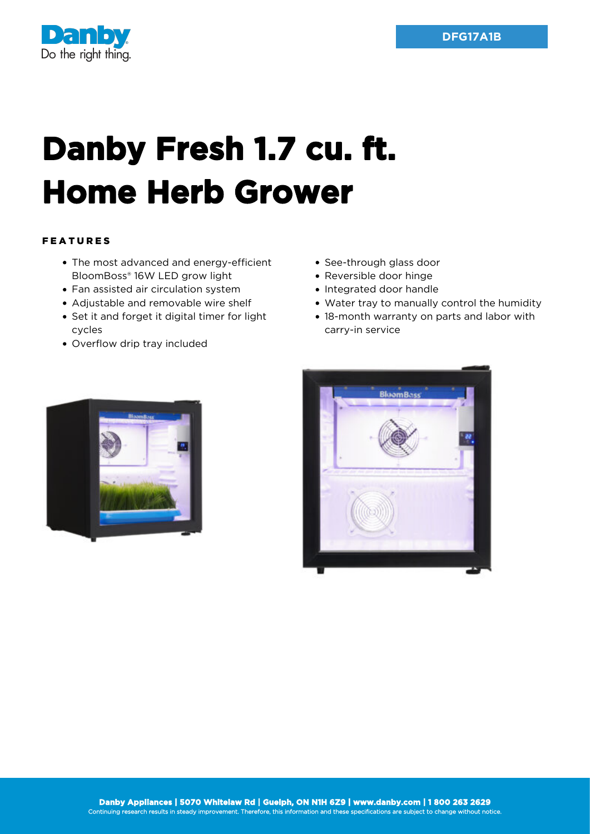

## **Danby Fresh 1.7 cu. ft. Home Herb Grower**

## FEATURES

- The most advanced and energy-efficient BloomBoss® 16W LED grow light
- Fan assisted air circulation system
- Adjustable and removable wire shelf
- Set it and forget it digital timer for light cycles
- Overflow drip tray included
- See-through glass door
- Reversible door hinge
- Integrated door handle
- Water tray to manually control the humidity
- 18-month warranty on parts and labor with carry-in service